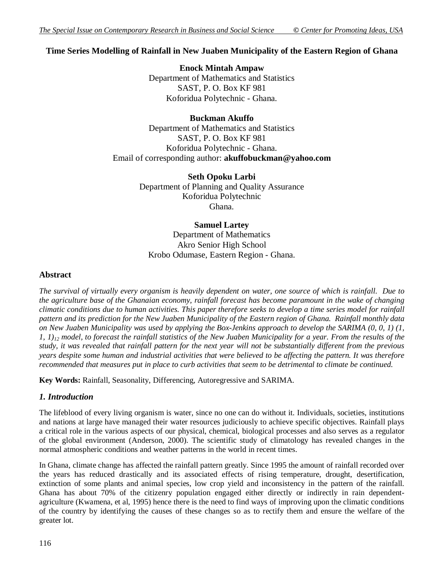# **Time Series Modelling of Rainfall in New Juaben Municipality of the Eastern Region of Ghana**

**Enock Mintah Ampaw** Department of Mathematics and Statistics SAST, P. O. Box KF 981 Koforidua Polytechnic - Ghana.

## **Buckman Akuffo**

Department of Mathematics and Statistics SAST, P. O. Box KF 981 Koforidua Polytechnic - Ghana. Email of corresponding author: **akuffobuckman@yahoo.com**

> **Seth Opoku Larbi** Department of Planning and Quality Assurance Koforidua Polytechnic Ghana.

## **Samuel Lartey**

Department of Mathematics Akro Senior High School Krobo Odumase, Eastern Region - Ghana.

## **Abstract**

*The survival of virtually every organism is heavily dependent on water, one source of which is rainfall. Due to the agriculture base of the Ghanaian economy, rainfall forecast has become paramount in the wake of changing climatic conditions due to human activities. This paper therefore seeks to develop a time series model for rainfall pattern and its prediction for the New Juaben Municipality of the Eastern region of Ghana. Rainfall monthly data on New Juaben Municipality was used by applying the Box-Jenkins approach to develop the SARIMA (0, 0, 1) (1, 1, 1)<sup>12</sup> model, to forecast the rainfall statistics of the New Juaben Municipality for a year. From the results of the study, it was revealed that rainfall pattern for the next year will not be substantially different from the previous years despite some human and industrial activities that were believed to be affecting the pattern. It was therefore recommended that measures put in place to curb activities that seem to be detrimental to climate be continued.* 

**Key Words:** Rainfall, Seasonality, Differencing, Autoregressive and SARIMA.

# *1. Introduction*

The lifeblood of every living organism is water, since no one can do without it. Individuals, societies, institutions and nations at large have managed their water resources judiciously to achieve specific objectives. Rainfall plays a critical role in the various aspects of our physical, chemical, biological processes and also serves as a regulator of the global environment (Anderson, 2000). The scientific study of climatology has revealed changes in the normal atmospheric conditions and weather patterns in the world in recent times.

In Ghana, climate change has affected the rainfall pattern greatly. Since 1995 the amount of rainfall recorded over the years has reduced drastically and its associated effects of rising temperature, drought, desertification, extinction of some plants and animal species, low crop yield and inconsistency in the pattern of the rainfall. Ghana has about 70% of the citizenry population engaged either directly or indirectly in rain dependentagriculture (Kwamena, et al, 1995) hence there is the need to find ways of improving upon the climatic conditions of the country by identifying the causes of these changes so as to rectify them and ensure the welfare of the greater lot.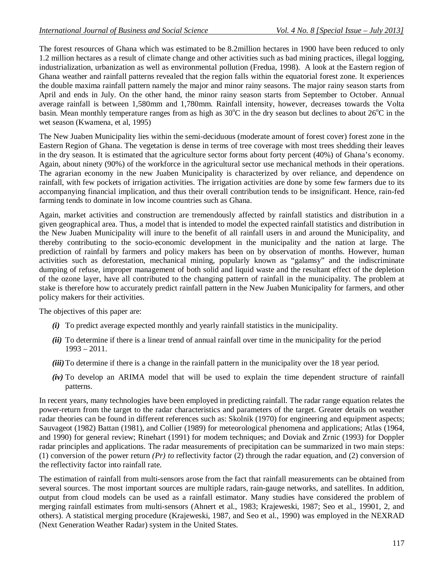The forest resources of Ghana which was estimated to be 8.2million hectares in 1900 have been reduced to only 1.2 million hectares as a result of climate change and other activities such as bad mining practices, illegal logging, industrialization, urbanization as well as environmental pollution (Fredua, 1998). A look at the Eastern region of Ghana weather and rainfall patterns revealed that the region falls within the equatorial forest zone. It experiences the double maxima rainfall pattern namely the major and minor rainy seasons. The major rainy season starts from April and ends in July. On the other hand, the minor rainy season starts from September to October. Annual average rainfall is between 1,580mm and 1,780mm. Rainfall intensity, however, decreases towards the Volta basin. Mean monthly temperature ranges from as high as  $30^{\circ}$ C in the dry season but declines to about  $26^{\circ}$ C in the wet season (Kwamena, et al, 1995)

The New Juaben Municipality lies within the semi-deciduous (moderate amount of forest cover) forest zone in the Eastern Region of Ghana. The vegetation is dense in terms of tree coverage with most trees shedding their leaves in the dry season. It is estimated that the agriculture sector forms about forty percent (40%) of Ghana's economy. Again, about ninety (90%) of the workforce in the agricultural sector use mechanical methods in their operations. The agrarian economy in the new Juaben Municipality is characterized by over reliance, and dependence on rainfall, with few pockets of irrigation activities. The irrigation activities are done by some few farmers due to its accompanying financial implication, and thus their overall contribution tends to be insignificant. Hence, rain-fed farming tends to dominate in low income countries such as Ghana.

Again, market activities and construction are tremendously affected by rainfall statistics and distribution in a given geographical area. Thus, a model that is intended to model the expected rainfall statistics and distribution in the New Juaben Municipality will inure to the benefit of all rainfall users in and around the Municipality, and thereby contributing to the socio-economic development in the municipality and the nation at large. The prediction of rainfall by farmers and policy makers has been on by observation of months. However, human activities such as deforestation, mechanical mining, popularly known as "galamsy" and the indiscriminate dumping of refuse, improper management of both solid and liquid waste and the resultant effect of the depletion of the ozone layer, have all contributed to the changing pattern of rainfall in the municipality. The problem at stake is therefore how to accurately predict rainfall pattern in the New Juaben Municipality for farmers, and other policy makers for their activities.

The objectives of this paper are:

- *(i)* To predict average expected monthly and yearly rainfall statistics in the municipality.
- *(ii)* To determine if there is a linear trend of annual rainfall over time in the municipality for the period 1993 – 2011.
- *(iii)* To determine if there is a change in the rainfall pattern in the municipality over the 18 year period.
- *(iv)* To develop an ARIMA model that will be used to explain the time dependent structure of rainfall patterns.

In recent years, many technologies have been employed in predicting rainfall. The radar range equation relates the power-return from the target to the radar characteristics and parameters of the target. Greater details on weather radar theories can be found in different references such as: Skolnik (1970) for engineering and equipment aspects; Sauvageot (1982) Battan (1981), and Collier (1989) for meteorological phenomena and applications; Atlas (1964, and 1990) for general review; Rinehart (1991) for modem techniques; and Doviak and Zrnic (1993) for Doppler radar principles and applications. The radar measurements of precipitation can be summarized in two main steps: (1) conversion of the power return *(Pr) to* reflectivity factor (2) through the radar equation, and (2) conversion of the reflectivity factor into rainfall rate.

The estimation of rainfall from multi-sensors arose from the fact that rainfall measurements can be obtained from several sources. The most important sources are multiple radars, rain-gauge networks, and satellites. In addition, output from cloud models can be used as a rainfall estimator. Many studies have considered the problem of merging rainfall estimates from multi-sensors (Ahnert et al., 1983; Krajeweski, 1987; Seo et al., 19901, 2, and others). A statistical merging procedure (Krajeweski, 1987, and Seo et al., 1990) was employed in the NEXRAD (Next Generation Weather Radar) system in the United States.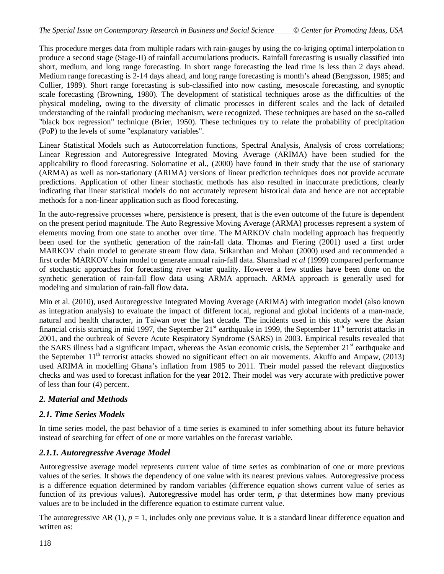This procedure merges data from multiple radars with rain-gauges by using the co-kriging optimal interpolation to produce a second stage (Stage-II) of rainfall accumulations products. Rainfall forecasting is usually classified into short, medium, and long range forecasting. In short range forecasting the lead time is less than 2 days ahead. Medium range forecasting is 2-14 days ahead, and long range forecasting is month's ahead (Bengtsson, 1985; and Collier, 1989). Short range forecasting is sub-classified into now casting, mesoscale forecasting, and synoptic scale forecasting (Browning, 1980). The development of statistical techniques arose as the difficulties of the physical modeling, owing to the diversity of climatic processes in different scales and the lack of detailed understanding of the rainfall producing mechanism, were recognized. These techniques are based on the so-called "black box regression" technique (Brier, 1950). These techniques try to relate the probability of precipitation (PoP) to the levels of some "explanatory variables".

Linear Statistical Models such as Autocorrelation functions, Spectral Analysis, Analysis of cross correlations; Linear Regression and Autoregressive Integrated Moving Average (ARIMA) have been studied for the applicability to flood forecasting. Solomatine et al., (2000) have found in their study that the use of stationary (ARMA) as well as non-stationary (ARIMA) versions of linear prediction techniques does not provide accurate predictions. Application of other linear stochastic methods has also resulted in inaccurate predictions, clearly indicating that linear statistical models do not accurately represent historical data and hence are not acceptable methods for a non-linear application such as flood forecasting.

In the auto-regressive processes where, persistence is present, that is the even outcome of the future is dependent on the present period magnitude. The Auto Regressive Moving Average (ARMA) processes represent a system of elements moving from one state to another over time. The MARKOV chain modeling approach has frequently been used for the synthetic generation of the rain-fall data. Thomas and Fiering (2001) used a first order MARKOV chain model to generate stream flow data. Srikanthan and Mohan (2000) used and recommended a first order MARKOV chain model to generate annual rain-fall data. Shamshad *et al* (1999) compared performance of stochastic approaches for forecasting river water quality. However a few studies have been done on the synthetic generation of rain-fall flow data using ARMA approach. ARMA approach is generally used for modeling and simulation of rain-fall flow data.

Min et al. (2010), used Autoregressive Integrated Moving Average (ARIMA) with integration model (also known as integration analysis) to evaluate the impact of different local, regional and global incidents of a man-made, natural and health character, in Taiwan over the last decade. The incidents used in this study were the Asian financial crisis starting in mid 1997, the September  $21<sup>st</sup>$  earthquake in 1999, the September  $11<sup>th</sup>$  terrorist attacks in 2001, and the outbreak of Severe Acute Respiratory Syndrome (SARS) in 2003. Empirical results revealed that the SARS illness had a significant impact, whereas the Asian economic crisis, the September 21<sup>st</sup> earthquake and the September  $11<sup>th</sup>$  terrorist attacks showed no significant effect on air movements. Akuffo and Ampaw, (2013) used ARIMA in modelling Ghana's inflation from 1985 to 2011. Their model passed the relevant diagnostics checks and was used to forecast inflation for the year 2012. Their model was very accurate with predictive power of less than four (4) percent.

# *2. Material and Methods*

# *2.1. Time Series Models*

In time series model, the past behavior of a time series is examined to infer something about its future behavior instead of searching for effect of one or more variables on the forecast variable.

# *2.1.1. Autoregressive Average Model*

Autoregressive average model represents current value of time series as combination of one or more previous values of the series. It shows the dependency of one value with its nearest previous values. Autoregressive process is a difference equation determined by random variables (difference equation shows current value of series as function of its previous values). Autoregressive model has order term, *p* that determines how many previous values are to be included in the difference equation to estimate current value.

The autoregressive AR  $(1)$ ,  $p = 1$ , includes only one previous value. It is a standard linear difference equation and written as: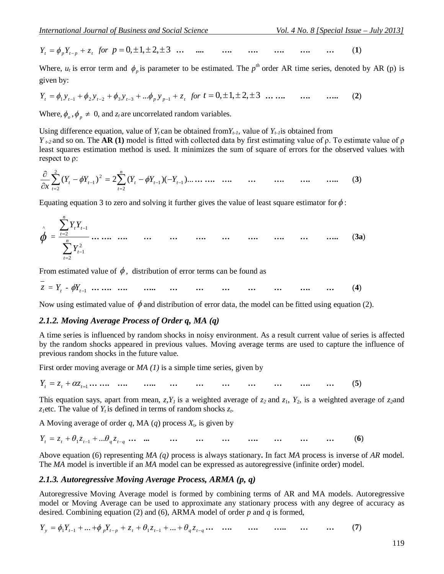$$
Y_{t} = \phi_{p} Y_{t-p} + z_{t} \text{ for } p = 0, \pm 1, \pm 2, \pm 3 \dots \dots \dots \dots \dots \dots \dots \dots \dots \dots \dots \dots \dots \dots \dots \tag{1}
$$

Where,  $u_t$  is error term and  $\phi_p$  is parameter to be estimated. The  $p^{th}$  order AR time series, denoted by AR (p) is given by:

$$
Y_{t} = \phi_{1} y_{t-1} + \phi_{2} y_{t-2} + \phi_{3} y_{t-3} + \dots + \phi_{p} y_{p-1} + z_{t} \text{ for } t = 0, \pm 1, \pm 2, \pm 3 \dots \dots \quad \dots \quad \dots \quad (2)
$$

Where,  $\phi_o$ ,  $\phi_p \neq 0$ , and  $z_t$  are uncorrelated random variables.

Using difference equation, value of  $Y_t$  can be obtained from  $Y_{t-1}$ , value of  $Y_{t-1}$  is obtained from

*Y t-2* and so on. The **AR (1)** model is fitted with collected data by first estimating value of ρ. To estimate value of ρ least squares estimation method is used. It minimizes the sum of square of errors for the observed values with respect to ρ:

( ) 2 ( )( )... <sup>1</sup> <sup>1</sup> 2 2 1 2 2 *<sup>t</sup> <sup>t</sup> n t t t t Y<sup>t</sup> Y Y Y Y x* **… …. …. … …. …. …..** (**3**)

Equating equation 3 to zero and solving it further gives the value of least square estimator for  $\phi$ :

 ^ = *n t t n t t t Y Y Y* 2 2 1 2 1 **… …. …. … … …. … …. …. … …..** (**3a**)

From estimated value of  $\phi$ , distribution of error terms can be found as

 $z = Y_t - \phi Y_{t-1}$  **…** …. …. …. …. …. …. …. …. …. …. …. (4)

Now using estimated value of  $\phi$  and distribution of error data, the model can be fitted using equation (2).

#### *2.1.2. Moving Average Process of Order q, MA (q)*

A time series is influenced by random shocks in noisy environment. As a result current value of series is affected by the random shocks appeared in previous values. Moving average terms are used to capture the influence of previous random shocks in the future value.

First order moving average or *MA (1)* is a simple time series, given by

*<sup>t</sup> <sup>t</sup> <sup>t</sup>*<sup>1</sup> *Y z z* **… …. …. ….. … … … … … …. …** (**5**)

This equation says, apart from mean,  $z, Y<sub>I</sub>$  is a weighted average of  $z<sub>2</sub>$  and  $z<sub>1</sub>$ ,  $Y<sub>2</sub>$ , is a weighted average of  $z<sub>2</sub>$ and *z*<sub>*i*</sub>etc. The value of  $Y_t$  is defined in terms of random shocks  $z_t$ .

A Moving average of order  $q$ , MA  $(q)$  process  $X_t$ , is given by

 $Y_t = z_t + \theta_1 z_{t-1} + ... \theta_q z_{t-q} ... ... ... ... ... ... ... ... ... ... ... ... ... ... ...$  (6)

Above equation (6) representing *MA (q)* process is always stationary**.** In fact *MA* process is inverse of *AR* model. The *MA* model is invertible if an *MA* model can be expressed as autoregressive (infinite order) model.

#### *2.1.3. Autoregressive Moving Average Process, ARMA (p, q)*

Autoregressive Moving Average model is formed by combining terms of AR and MA models. Autoregressive model or Moving Average can be used to approximate any stationary process with any degree of accuracy as desired. Combining equation (2) and (6), ARMA model of order *p* and *q* is formed,

 $Y_y = \phi_1 Y_{t-1} + ... + \phi_p Y_{t-p} + z_t + \theta_1 z_{t-1} + ... + \theta_q z_{t-q} ...$  .... .... .... ... ... (7)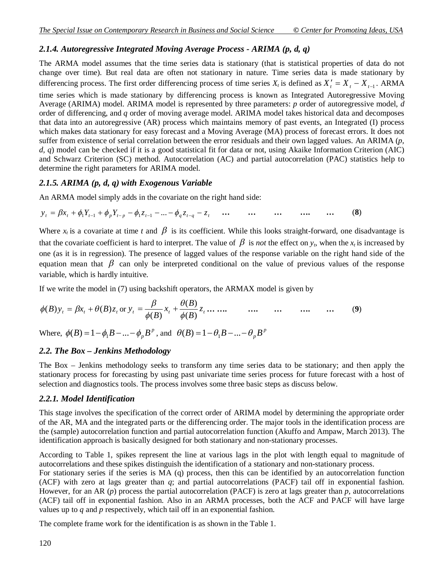# *2.1.4. Autoregressive Integrated Moving Average Process - ARIMA (p, d, q)*

The ARMA model assumes that the time series data is stationary (that is statistical properties of data do not change over time). But real data are often not stationary in nature. Time series data is made stationary by differencing process. The first order differencing process of time series  $X_t$  is defined as  $X'_t = X_t - X_{t-1}$ . ARMA

time series which is made stationary by differencing process is known as Integrated Autoregressive Moving Average (ARIMA) model. ARIMA model is represented by three parameters: *p* order of autoregressive model, *d*  order of differencing, and *q* order of moving average model. ARIMA model takes historical data and decomposes that data into an autoregressive (AR) process which maintains memory of past events, an Integrated (I) process which makes data stationary for easy forecast and a Moving Average (MA) process of forecast errors. It does not suffer from existence of serial correlation between the error residuals and their own lagged values. An ARIMA (*p, d, q*) model can be checked if it is a good statistical fit for data or not, using Akaike Information Criterion (AIC) and Schwarz Criterion (SC) method. Autocorrelation (AC) and partial autocorrelation (PAC) statistics help to determine the right parameters for ARIMA model.

## *2.1.5. ARIMA (p, d, q) with Exogenous Variable*

An ARMA model simply adds in the covariate on the right hand side:

$$
y_{t} = \beta x_{t} + \phi_{1} Y_{t-1} + \phi_{p} Y_{t-p} - \phi_{1} z_{t-1} - \dots - \phi_{q} z_{t-q} - z_{t} \quad \dots \quad \dots \quad \dots \quad \dots \quad \dots \quad \dots \tag{8}
$$

Where  $x_t$  is a covariate at time *t* and  $\beta$  is its coefficient. While this looks straight-forward, one disadvantage is that the covariate coefficient is hard to interpret. The value of  $\beta$  is *not* the effect on  $y_t$ , when the  $x_t$  is increased by one (as it is in regression). The presence of lagged values of the response variable on the right hand side of the equation mean that  $\beta$  can only be interpreted conditional on the value of previous values of the response variable, which is hardly intuitive.

If we write the model in (7) using backshift operators, the ARMAX model is given by

$$
\phi(B)y_t = \beta x_t + \theta(B)z_t \text{ or } y_t = \frac{\beta}{\phi(B)} x_t + \frac{\theta(B)}{\phi(B)} z_t \dots \dots \qquad \dots \qquad \dots \qquad \dots \qquad \dots \qquad \dots \qquad (9)
$$

Where,  $\phi(B) = 1 - \phi_1 B - ... - \phi_p B^p$ , and  $\theta(B) = 1 - \theta_1 B - ... - \theta_p B^p$ 

# *2.2. The Box – Jenkins Methodology*

The Box – Jenkins methodology seeks to transform any time series data to be stationary; and then apply the stationary process for forecasting by using past univariate time series process for future forecast with a host of selection and diagnostics tools. The process involves some three basic steps as discuss below.

## *2.2.1. Model Identification*

This stage involves the specification of the correct order of ARIMA model by determining the appropriate order of the AR, MA and the integrated parts or the differencing order. The major tools in the identification process are the (sample) autocorrelation function and partial autocorrelation function (Akuffo and Ampaw, March 2013). The identification approach is basically designed for both stationary and non-stationary processes.

According to Table 1, spikes represent the line at various lags in the plot with length equal to magnitude of autocorrelations and these spikes distinguish the identification of a stationary and non-stationary process.

For stationary series if the series is MA (q) process, then this can be identified by an autocorrelation function (ACF) with zero at lags greater than *q*; and partial autocorrelations (PACF) tail off in exponential fashion. However, for an AR (*p*) process the partial autocorrelation (PACF) is zero at lags greater than *p*, autocorrelations (ACF) tail off in exponential fashion. Also in an ARMA processes, both the ACF and PACF will have large values up to *q* and *p* respectively, which tail off in an exponential fashion.

The complete frame work for the identification is as shown in the Table 1.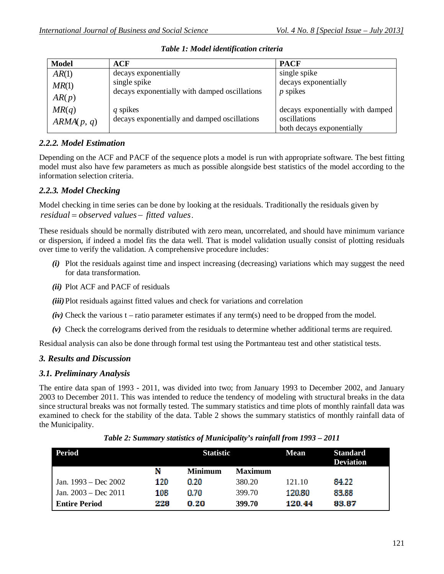| <b>Model</b> | <b>ACF</b>                                    | <b>PACF</b>                      |
|--------------|-----------------------------------------------|----------------------------------|
| AR(1)        | decays exponentially                          | single spike                     |
| MR(1)        | single spike                                  | decays exponentially             |
| AR(p)        | decays exponentially with damped oscillations | $p$ spikes                       |
| MR(q)        | q spikes                                      | decays exponentially with damped |
| ARMA(p, q)   | decays exponentially and damped oscillations  | oscillations                     |
|              |                                               | both decays exponentially        |

*Table 1: Model identification criteria*

# *2.2.2. Model Estimation*

Depending on the ACF and PACF of the sequence plots a model is run with appropriate software. The best fitting model must also have few parameters as much as possible alongside best statistics of the model according to the information selection criteria.

# *2.2.3. Model Checking*

Model checking in time series can be done by looking at the residuals. Traditionally the residuals given by *residual observed values fitted values*.

These residuals should be normally distributed with zero mean, uncorrelated, and should have minimum variance or dispersion, if indeed a model fits the data well. That is model validation usually consist of plotting residuals over time to verify the validation. A comprehensive procedure includes:

- *(i)* Plot the residuals against time and inspect increasing (decreasing) variations which may suggest the need for data transformation.
- *(ii)* Plot ACF and PACF of residuals
- *(iii)* Plot residuals against fitted values and check for variations and correlation
- $(iv)$  Check the various t ratio parameter estimates if any term(s) need to be dropped from the model.
- *(v)* Check the correlograms derived from the residuals to determine whether additional terms are required.

Residual analysis can also be done through formal test using the Portmanteau test and other statistical tests.

# *3. Results and Discussion*

# *3.1. Preliminary Analysis*

The entire data span of 1993 - 2011, was divided into two; from January 1993 to December 2002, and January 2003 to December 2011. This was intended to reduce the tendency of modeling with structural breaks in the data since structural breaks was not formally tested. The summary statistics and time plots of monthly rainfall data was examined to check for the stability of the data. Table 2 shows the summary statistics of monthly rainfall data of the Municipality.

| Period                 | <b>Statistic</b> |                |                | <b>Mean</b> | <b>Standard</b><br><b>Deviation</b> |
|------------------------|------------------|----------------|----------------|-------------|-------------------------------------|
|                        | 'N               | <b>Minimum</b> | <b>Maximum</b> |             |                                     |
| Jan. $1993 - Dec 2002$ | 120              | 0.20           | 380.20         | 121.10      | 84.22                               |
| Jan. $2003 - Dec 2011$ | 108              | 0.70.          | 399.70         | 120.80      | 83.88                               |
| <b>Entire Period</b>   | 228              | 0.20           | 399.70         | 120.44      | 83.87                               |

*Table 2: Summary statistics of Municipality's rainfall from 1993 – 2011*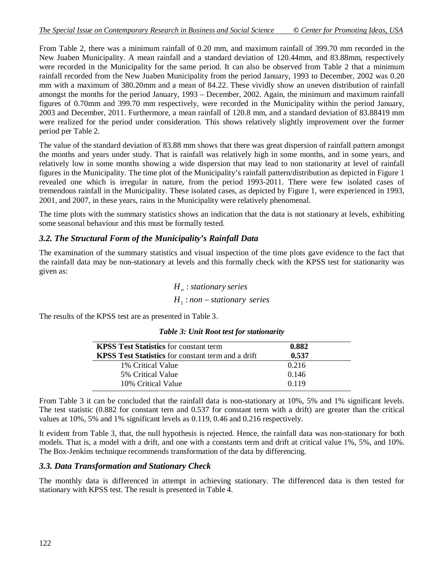From Table 2, there was a minimum rainfall of 0.20 mm, and maximum rainfall of 399.70 mm recorded in the New Juaben Municipality. A mean rainfall and a standard deviation of 120.44mm, and 83.88mm, respectively were recorded in the Municipality for the same period. It can also be observed from Table 2 that a minimum rainfall recorded from the New Juaben Municipality from the period January, 1993 to December, 2002 was 0.20 mm with a maximum of 380.20mm and a mean of 84.22. These vividly show an uneven distribution of rainfall amongst the months for the period January, 1993 – December, 2002. Again, the minimum and maximum rainfall figures of 0.70mm and 399.70 mm respectively, were recorded in the Municipality within the period January, 2003 and December, 2011. Furthermore, a mean rainfall of 120.8 mm, and a standard deviation of 83.88419 mm were realized for the period under consideration. This shows relatively slightly improvement over the former period per Table 2.

The value of the standard deviation of 83.88 mm shows that there was great dispersion of rainfall pattern amongst the months and years under study. That is rainfall was relatively high in some months, and in some years, and relatively low in some months showing a wide dispersion that may lead to non stationarity at level of rainfall figures in the Municipality. The time plot of the Municipality's rainfall pattern/distribution as depicted in Figure 1 revealed one which is irregular in nature, from the period 1993-2011. There were few isolated cases of tremendous rainfall in the Municipality. These isolated cases, as depicted by Figure 1, were experienced in 1993, 2001, and 2007, in these years, rains in the Municipality were relatively phenomenal.

The time plots with the summary statistics shows an indication that the data is not stationary at levels, exhibiting some seasonal behaviour and this must be formally tested.

## *3.2. The Structural Form of the Municipality's Rainfall Data*

The examination of the summary statistics and visual inspection of the time plots gave evidence to the fact that the rainfall data may be non-stationary at levels and this formally check with the KPSS test for stationarity was given as:

> $H_1$ : non – stationary series  $H_{_o}$  : stationary series

The results of the KPSS test are as presented in Table 3.

| <b>KPSS Test Statistics</b> for constant term             | 0.882 |  |
|-----------------------------------------------------------|-------|--|
| <b>KPSS Test Statistics</b> for constant term and a drift | 0.537 |  |
| 1% Critical Value                                         | 0.216 |  |
| 5% Critical Value                                         | 0.146 |  |
| 10% Critical Value                                        | 0.119 |  |

### *Table 3: Unit Root test for stationarity*

From Table 3 it can be concluded that the rainfall data is non-stationary at 10%, 5% and 1% significant levels. The test statistic (0.882 for constant tern and 0.537 for constant term with a drift) are greater than the critical values at 10%, 5% and 1% significant levels as 0.119, 0.46 and 0.216 respectively.

It evident from Table 3, that, the null hypothesis is rejected. Hence, the rainfall data was non-stationary for both models. That is, a model with a drift, and one with a constants term and drift at critical value 1%, 5%, and 10%. The Box-Jenkins technique recommends transformation of the data by differencing.

## *3.3. Data Transformation and Stationary Check*

The monthly data is differenced in attempt in achieving stationary. The differenced data is then tested for stationary with KPSS test. The result is presented in Table 4.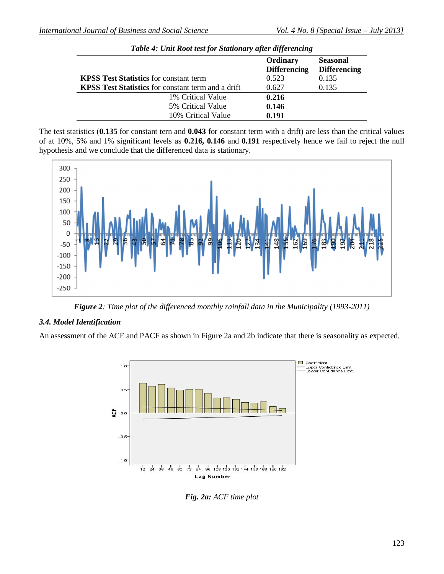|                                                           | Ordinary<br><b>Differencing</b> | <b>Seasonal</b><br><b>Differencing</b> |  |
|-----------------------------------------------------------|---------------------------------|----------------------------------------|--|
| <b>KPSS Test Statistics</b> for constant term             | 0.523                           | 0.135                                  |  |
| <b>KPSS Test Statistics</b> for constant term and a drift | 0.627                           | 0.135                                  |  |
| 1% Critical Value                                         | 0.216                           |                                        |  |
| 5% Critical Value                                         | 0.146                           |                                        |  |
| 10% Critical Value                                        | 0.191                           |                                        |  |

The test statistics (**0.135** for constant tern and **0.043** for constant term with a drift) are less than the critical values of at 10%, 5% and 1% significant levels as **0.216, 0.146** and **0.191** respectively hence we fail to reject the null hypothesis and we conclude that the differenced data is stationary.



*Figure 2: Time plot of the differenced monthly rainfall data in the Municipality (1993-2011)*

## *3.4. Model Identification*

An assessment of the ACF and PACF as shown in Figure 2a and 2b indicate that there is seasonality as expected.



*Fig. 2a: ACF time plot*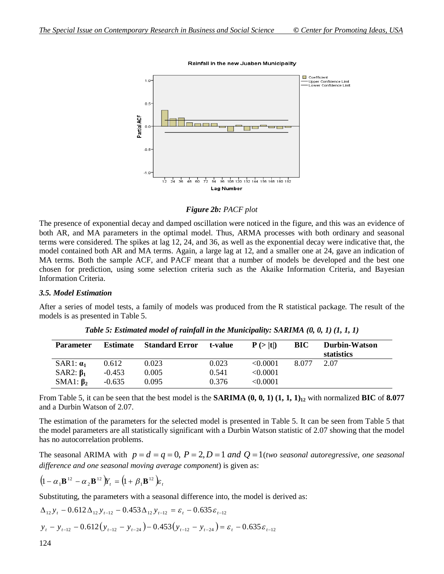

Rainfall in the new Juaben Municipality

#### *Figure 2b: PACF plot*

The presence of exponential decay and damped oscillation were noticed in the figure, and this was an evidence of both AR, and MA parameters in the optimal model. Thus, ARMA processes with both ordinary and seasonal terms were considered. The spikes at lag 12, 24, and 36, as well as the exponential decay were indicative that, the model contained both AR and MA terms. Again, a large lag at 12, and a smaller one at 24, gave an indication of MA terms. Both the sample ACF, and PACF meant that a number of models be developed and the best one chosen for prediction, using some selection criteria such as the Akaike Information Criteria, and Bayesian Information Criteria.

#### *3.5. Model Estimation*

After a series of model tests, a family of models was produced from the R statistical package. The result of the models is as presented in Table 5.

| <b>Parameter</b> | <b>Estimate</b> | <b>Standard Error</b> | t-value | $P(>\vert t \vert)$ | BIC   | Durbin-Watson<br>statistics |
|------------------|-----------------|-----------------------|---------|---------------------|-------|-----------------------------|
| SAR1: $\alpha_1$ | 0.612           | 0.023                 | 0.023   | $\leq 0.0001$       | 8.077 | 2.07                        |
| SAR2: $\beta_1$  | $-0.453$        | 0.005                 | 0.541   | < 0.0001            |       |                             |
| SMA1: $\beta_2$  | $-0.635$        | 0.095                 | 0.376   | < 0.0001            |       |                             |

*Table 5: Estimated model of rainfall in the Municipality: SARIMA (0, 0, 1) (1, 1, 1)*

From Table 5, it can be seen that the best model is the **SARIMA**  $(0, 0, 1)$   $(1, 1, 1)_{12}$  with normalized **BIC** of **8.077** and a Durbin Watson of 2.07.

The estimation of the parameters for the selected model is presented in Table 5. It can be seen from Table 5 that the model parameters are all statistically significant with a Durbin Watson statistic of 2.07 showing that the model has no autocorrelation problems.

The seasonal ARIMA with  $p = d = q = 0$ ,  $P = 2$ ,  $D = 1$  and  $Q = 1$  (*two seasonal autoregressive, one seasonal difference and one seasonal moving average component*) is given as:

$$
\left(1-\alpha_1\mathbf{B}^{12}-\alpha_2\mathbf{B}^{12}\right)Y_t = \left(1+\beta_1\mathbf{B}^{12}\right)\!\varepsilon_t
$$

Substituting, the parameters with a seasonal difference into, the model is derived as:

$$
\Delta_{12} y_t - 0.612 \Delta_{12} y_{t-12} - 0.453 \Delta_{12} y_{t-12} = \varepsilon_t - 0.635 \varepsilon_{t-12}
$$
  

$$
y_t - y_{t-12} - 0.612 (y_{t-12} - y_{t-24}) - 0.453 (y_{t-12} - y_{t-24}) = \varepsilon_t - 0.635 \varepsilon_{t-12}
$$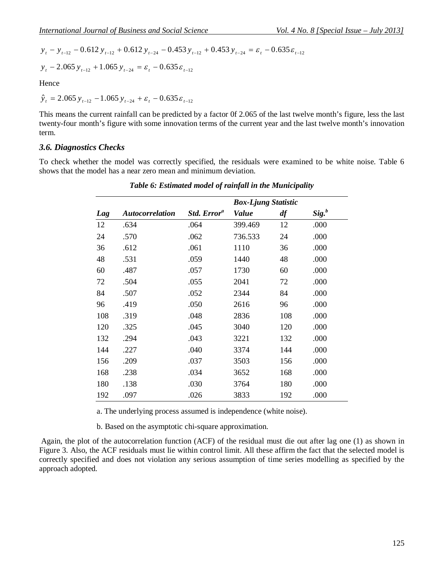$$
y_{t} - y_{t-12} - 0.612 y_{t-12} + 0.612 y_{t-24} - 0.453 y_{t-12} + 0.453 y_{t-24} = \varepsilon_{t} - 0.635 \varepsilon_{t-12}
$$

$$
y_t
$$
 - 2.065  $y_{t-12}$  + 1.065  $y_{t-24}$  =  $\varepsilon_t$  - 0.635  $\varepsilon_{t-12}$ 

Hence

$$
\hat{y}_t = 2.065 y_{t-12} - 1.065 y_{t-24} + \varepsilon_t - 0.635 \varepsilon_{t-12}
$$

This means the current rainfall can be predicted by a factor 0f 2.065 of the last twelve month's figure, less the last twenty-four month's figure with some innovation terms of the current year and the last twelve month's innovation term.

### *3.6. Diagnostics Checks*

To check whether the model was correctly specified, the residuals were examined to be white noise. Table 6 shows that the model has a near zero mean and minimum deviation.

|     |                        |                         | <b>Box-Ljung Statistic</b> |     |                   |
|-----|------------------------|-------------------------|----------------------------|-----|-------------------|
| Lag | <b>Autocorrelation</b> | Std. Error <sup>a</sup> | <b>Value</b>               | df  | Sig. <sup>b</sup> |
| 12  | .634                   | .064                    | 399.469                    | 12  | .000              |
| 24  | .570                   | .062                    | 736.533                    | 24  | .000              |
| 36  | .612                   | .061                    | 1110                       | 36  | .000              |
| 48  | .531                   | .059                    | 1440                       | 48  | .000              |
| 60  | .487                   | .057                    | 1730                       | 60  | .000              |
| 72  | .504                   | .055                    | 2041                       | 72  | .000              |
| 84  | .507                   | .052                    | 2344                       | 84  | .000              |
| 96  | .419                   | .050                    | 2616                       | 96  | .000              |
| 108 | .319                   | .048                    | 2836                       | 108 | .000              |
| 120 | .325                   | .045                    | 3040                       | 120 | .000              |
| 132 | .294                   | .043                    | 3221                       | 132 | .000              |
| 144 | .227                   | .040                    | 3374                       | 144 | .000              |
| 156 | .209                   | .037                    | 3503                       | 156 | .000              |
| 168 | .238                   | .034                    | 3652                       | 168 | .000              |
| 180 | .138                   | .030                    | 3764                       | 180 | .000              |
| 192 | .097                   | .026                    | 3833                       | 192 | .000              |

*Table 6: Estimated model of rainfall in the Municipality*

a. The underlying process assumed is independence (white noise).

b. Based on the asymptotic chi-square approximation.

Again, the plot of the autocorrelation function (ACF) of the residual must die out after lag one (1) as shown in Figure 3. Also, the ACF residuals must lie within control limit. All these affirm the fact that the selected model is correctly specified and does not violation any serious assumption of time series modelling as specified by the approach adopted.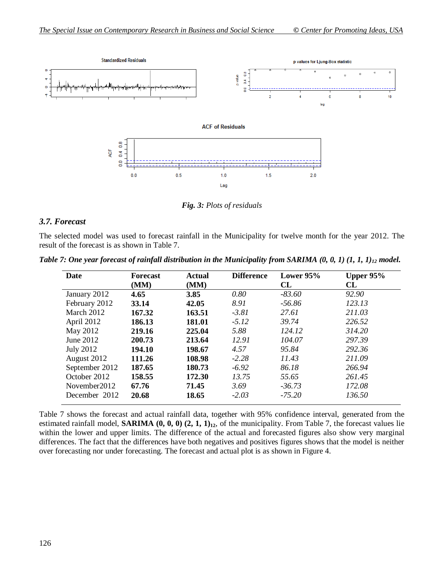

*Fig. 3: Plots of residuals*

## *3.7. Forecast*

The selected model was used to forecast rainfall in the Municipality for twelve month for the year 2012. The result of the forecast is as shown in Table 7.

| Date             | <b>Forecast</b><br>(MM) | <b>Actual</b><br>(MM) | <b>Difference</b> | Lower 95%<br>CL | Upper $95%$<br>CL |
|------------------|-------------------------|-----------------------|-------------------|-----------------|-------------------|
| January 2012     | 4.65                    | 3.85                  | 0.80              | $-83.60$        | 92.90             |
| February 2012    | 33.14                   | 42.05                 | 8.91              | $-56.86$        | 123.13            |
| March 2012       | 167.32                  | 163.51                | $-3.81$           | 27.61           | 211.03            |
| April 2012       | 186.13                  | 181.01                | $-5.12$           | 39.74           | 226.52            |
| May 2012         | 219.16                  | 225.04                | 5.88              | 124.12          | 314.20            |
| June 2012        | 200.73                  | 213.64                | 12.91             | 104.07          | 297.39            |
| <b>July 2012</b> | 194.10                  | 198.67                | 4.57              | 95.84           | 292.36            |
| August 2012      | 111.26                  | 108.98                | $-2.28$           | 11.43           | 211.09            |
| September 2012   | 187.65                  | 180.73                | $-6.92$           | 86.18           | 266.94            |
| October 2012     | 158.55                  | 172.30                | 13.75             | 55.65           | 261.45            |
| November 2012    | 67.76                   | 71.45                 | 3.69              | $-36.73$        | 172.08            |
| December 2012    | 20.68                   | 18.65                 | $-2.03$           | $-75.20$        | 136.50            |

*Table 7: One year forecast of rainfall distribution in the Municipality from SARIMA (0, 0, 1) (1, 1, 1)<sup>12</sup> model.*

Table 7 shows the forecast and actual rainfall data, together with 95% confidence interval, generated from the estimated rainfall model, **SARIMA (0, 0, 0) (2, 1, 1)12**, of the municipality. From Table 7, the forecast values lie within the lower and upper limits. The difference of the actual and forecasted figures also show very marginal differences. The fact that the differences have both negatives and positives figures shows that the model is neither over forecasting nor under forecasting. The forecast and actual plot is as shown in Figure 4.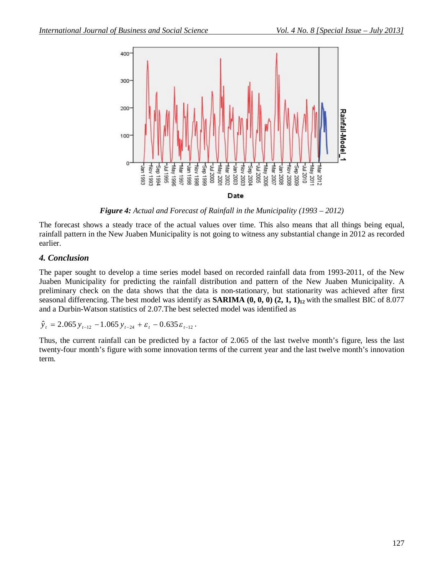

*Figure 4: Actual and Forecast of Rainfall in the Municipality (1993 – 2012)*

The forecast shows a steady trace of the actual values over time. This also means that all things being equal, rainfall pattern in the New Juaben Municipality is not going to witness any substantial change in 2012 as recorded earlier.

## *4. Conclusion*

The paper sought to develop a time series model based on recorded rainfall data from 1993-2011, of the New Juaben Municipality for predicting the rainfall distribution and pattern of the New Juaben Municipality. A preliminary check on the data shows that the data is non-stationary, but stationarity was achieved after first seasonal differencing. The best model was identify as **SARIMA (0, 0, 0) (2, 1, 1)12** with the smallest BIC of 8.077 and a Durbin-Watson statistics of 2.07.The best selected model was identified as

$$
\hat{y}_t = 2.065 y_{t-12} - 1.065 y_{t-24} + \varepsilon_t - 0.635 \varepsilon_{t-12}.
$$

Thus, the current rainfall can be predicted by a factor of 2.065 of the last twelve month's figure, less the last twenty-four month's figure with some innovation terms of the current year and the last twelve month's innovation term.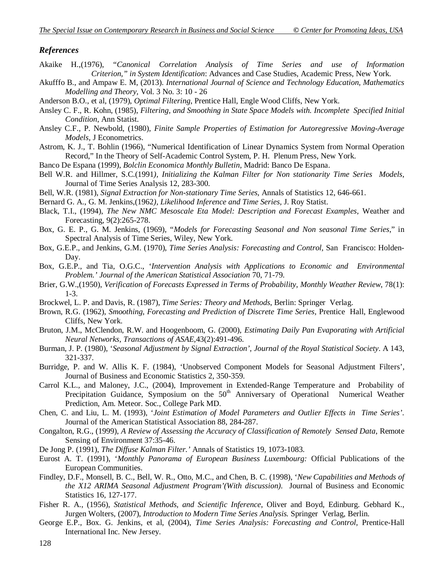### *References*

- Akaike H.,(1976), "*Canonical Correlation Analysis of Time Series and use of Information Criterion," in System Identification*: Advances and Case Studies, Academic Press, New York.
- Akufffo B., and Ampaw E. M, (2013). *International Journal of Science and Technology Education, Mathematics Modelling and Theory,* Vol. 3 No. 3: 10 - 26
- Anderson B.O., et al, (1979), *Optimal Filtering*, Prentice Hall, Engle Wood Cliffs, New York.
- Ansley C. F., R. Kohn, (1985), *Filtering, and Smoothing in State Space Models with. Incomplete Specified Initial Condition*, Ann Statist.
- Ansley C.F., P. Newbold, (1980), *Finite Sample Properties of Estimation for Autoregressive Moving-Average Models*, J Econometrics.
- Astrom, K. J., T. Bohlin (1966), "Numerical Identification of Linear Dynamics System from Normal Operation Record," In the Theory of Self-Academic Control System, P. H. Plenum Press, New York.
- Banco De Espana (1999), *Bolclin Economica Monthly Bulletin*, Madrid: Banco De Espana.
- Bell W.R. and Hillmer, S.C.(1991*), Initializing the Kalman Filter for Non stationarity Time Series Models,* Journal of Time Series Analysis 12, 283-300.
- Bell, W.R. (1981), *Signal Extraction for Non-stationary Time Series,* Annals of Statistics 12, 646-661.
- Bernard G. A., G. M. Jenkins,(1962*), Likelihood Inference and Time Series,* J. Roy Statist.
- Black, T.I., (1994), *The New NMC Mesoscale Eta Model: Description and Forecast Examples,* Weather and Forecasting, 9(2):265-278.
- Box, G. E. P., G. M. Jenkins, (1969), "*Models for Forecasting Seasonal and Non seasonal Time Series*," in Spectral Analysis of Time Series, Wiley, New York.
- Box, G.E.P., and Jenkins, G.M. (1970), *Time Series Analysis: Forecasting and Control,* San Francisco: Holden-Day.
- Box, G.E.P., and Tia, O.G.C., '*Intervention Analysis with Applications to Economic and Environmental*  Problem.' Journal of the American Statistical Association 70, 71-79.
- Brier, G.W.,(1950), *Verification of Forecasts Expressed in Terms of Probability, Monthly Weather Review*, 78(1): 1-3.
- Brockwel, L. P. and Davis, R. (1987), *Time Series: Theory and Methods*, Berlin: Springer Verlag.
- Brown, R.G. (1962), *Smoothing, Forecasting and Prediction of Discrete Time Series,* Prentice Hall, Englewood Cliffs, New York.
- Bruton, J.M., McClendon, R.W. and Hoogenboom, G. (2000), *Estimating Daily Pan Evaporating with Artificial Neural Networks, Transactions of ASAE,*43(2):491-496.
- Burman, J. P. (1980), '*Seasonal Adjustment by Signal Extraction', Journal of the Royal Statistical Society*. A 143, 321-337.
- Burridge, P. and W. Allis K. F. (1984), 'Unobserved Component Models for Seasonal Adjustment Filters', Journal of Business and Economic Statistics 2, 350-359.
- Carrol K.L., and Maloney, J.C., (2004), Improvement in Extended-Range Temperature and Probability of Precipitation Guidance, Symposium on the 50<sup>th</sup> Anniversary of Operational Numerical Weather Prediction, Am. Meteor. Soc., College Park MD.
- Chen, C. and Liu, L. M. (1993), '*Joint Estimation of Model Parameters and Outlier Effects in Time Series'*. Journal of the American Statistical Association 88, 284-287.
- Congalton, R.G., (1999), *A Review of Assessing the Accuracy of Classification of Remotely Sensed Data*, Remote Sensing of Environment 37:35-46.
- De Jong P. (1991), *The Diffuse Kalman Filter.'* Annals of Statistics 19, 1073-1083.
- Eurost A. T. (1991), '*Monthly Panorama of European Business Luxembourg:* Official Publications of the European Communities.
- Findley, D.F., Monsell, B. C., Bell, W. R., Otto, M.C., and Chen, B. C. (1998), '*New Capabilities and Methods of the X12 ARIMA Seasonal Adjustment Program'(With discussion)*. Journal of Business and Economic Statistics 16, 127-177.
- Fisher R. A., (1956), *Statistical Methods, and Scientific Inference*, Oliver and Boyd, Edinburg. Gebhard K., Jurgen Wolters, (2007), *Introduction to Modern Time Series Analysis.* Springer Verlag, Berlin.
- George E.P., Box. G. Jenkins, et al, (2004), *Time Series Analysis: Forecasting and Control,* Prentice-Hall International Inc. New Jersey.